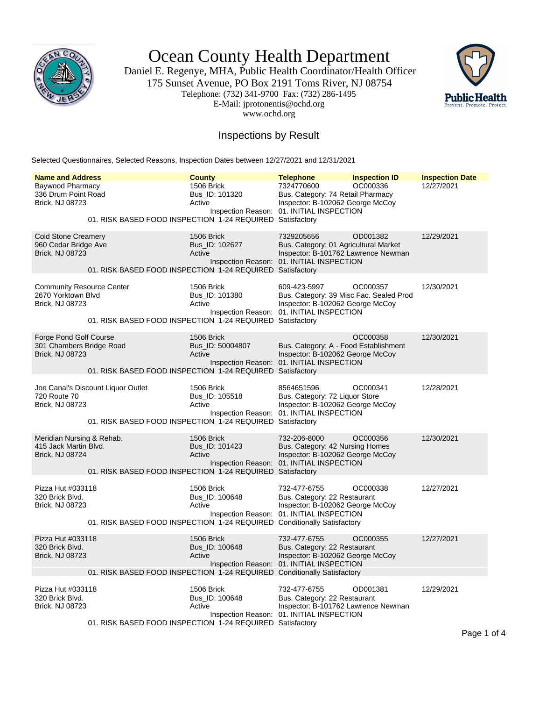

Ocean County Health Department

Daniel E. Regenye, MHA, Public Health Coordinator/Health Officer 175 Sunset Avenue, PO Box 2191 Toms River, NJ 08754 Telephone: (732) 341-9700 Fax: (732) 286-1495 E-Mail: jprotonentis@ochd.org www.ochd.org



## Inspections by Result

Selected Questionnaires, Selected Reasons, Inspection Dates between 12/27/2021 and 12/31/2021

| <b>Name and Address</b>                                                          | <b>County</b>                                                                                                     | <b>Telephone</b>                                                                                                                         | <b>Inspection ID</b> | <b>Inspection Date</b> |
|----------------------------------------------------------------------------------|-------------------------------------------------------------------------------------------------------------------|------------------------------------------------------------------------------------------------------------------------------------------|----------------------|------------------------|
| Baywood Pharmacy<br>336 Drum Point Road<br>Brick, NJ 08723                       | 1506 Brick<br>Bus_ID: 101320<br>Active<br>01. RISK BASED FOOD INSPECTION 1-24 REQUIRED Satisfactory               | 7324770600<br>Bus. Category: 74 Retail Pharmacy<br>Inspector: B-102062 George McCoy<br>Inspection Reason: 01. INITIAL INSPECTION         | OC000336             | 12/27/2021             |
| <b>Cold Stone Creamery</b><br>960 Cedar Bridge Ave<br>Brick, NJ 08723            | 1506 Brick<br>Bus_ID: 102627<br>Active<br>01. RISK BASED FOOD INSPECTION 1-24 REQUIRED Satisfactory               | 7329205656<br>Bus. Category: 01 Agricultural Market<br>Inspector: B-101762 Lawrence Newman<br>Inspection Reason: 01. INITIAL INSPECTION  | OD001382             | 12/29/2021             |
| <b>Community Resource Center</b><br>2670 Yorktown Blvd<br><b>Brick, NJ 08723</b> | 1506 Brick<br>Bus_ID: 101380<br>Active<br>01. RISK BASED FOOD INSPECTION 1-24 REQUIRED Satisfactory               | 609-423-5997<br>Bus. Category: 39 Misc Fac. Sealed Prod<br>Inspector: B-102062 George McCoy<br>Inspection Reason: 01. INITIAL INSPECTION | OC000357             | 12/30/2021             |
| Forge Pond Golf Course<br>301 Chambers Bridge Road<br>Brick, NJ 08723            | 1506 Brick<br>Bus_ID: 50004807<br>Active<br>01. RISK BASED FOOD INSPECTION 1-24 REQUIRED Satisfactory             | Bus. Category: A - Food Establishment<br>Inspector: B-102062 George McCov<br>Inspection Reason: 01. INITIAL INSPECTION                   | OC000358             | 12/30/2021             |
| Joe Canal's Discount Liquor Outlet<br>720 Route 70<br>Brick, NJ 08723            | 1506 Brick<br>Bus_ID: 105518<br>Active<br>01. RISK BASED FOOD INSPECTION 1-24 REQUIRED Satisfactory               | 8564651596<br>Bus. Category: 72 Liquor Store<br>Inspector: B-102062 George McCoy<br>Inspection Reason: 01. INITIAL INSPECTION            | OC000341             | 12/28/2021             |
| Meridian Nursing & Rehab.<br>415 Jack Martin Blvd.<br><b>Brick, NJ 08724</b>     | 1506 Brick<br>Bus ID: 101423<br>Active<br>01. RISK BASED FOOD INSPECTION 1-24 REQUIRED Satisfactory               | 732-206-8000<br>Bus. Category: 42 Nursing Homes<br>Inspector: B-102062 George McCoy<br>Inspection Reason: 01. INITIAL INSPECTION         | OC000356             | 12/30/2021             |
| Pizza Hut #033118<br>320 Brick Blvd.<br>Brick, NJ 08723                          | 1506 Brick<br>Bus_ID: 100648<br>Active<br>01. RISK BASED FOOD INSPECTION 1-24 REQUIRED Conditionally Satisfactory | 732-477-6755<br>Bus. Category: 22 Restaurant<br>Inspector: B-102062 George McCoy<br>Inspection Reason: 01. INITIAL INSPECTION            | OC000338             | 12/27/2021             |
| Pizza Hut #033118<br>320 Brick Blvd.<br>Brick, NJ 08723                          | 1506 Brick<br>Bus_ID: 100648<br>Active<br>01. RISK BASED FOOD INSPECTION 1-24 REQUIRED Conditionally Satisfactory | 732-477-6755<br>Bus. Category: 22 Restaurant<br>Inspector: B-102062 George McCoy<br>Inspection Reason: 01. INITIAL INSPECTION            | OC000355             | 12/27/2021             |
| Pizza Hut #033118<br>320 Brick Blvd.<br>Brick, NJ 08723                          | 1506 Brick<br>Bus_ID: 100648<br>Active<br>01. RISK BASED FOOD INSPECTION 1-24 REQUIRED Satisfactory               | 732-477-6755<br>Bus. Category: 22 Restaurant<br>Inspector: B-101762 Lawrence Newman<br>Inspection Reason: 01. INITIAL INSPECTION         | OD001381             | 12/29/2021             |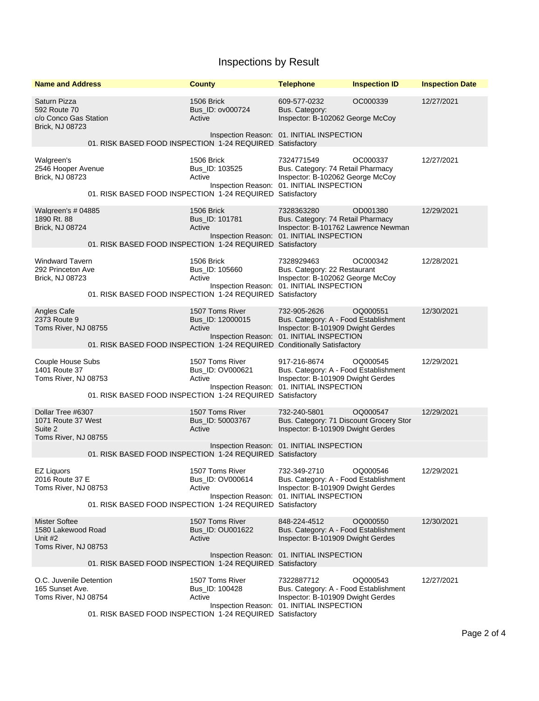## Inspections by Result

| <b>Name and Address</b>                                                       |                                                                         | <b>County</b>                                 | <b>Telephone</b>                                                                                                                        | <b>Inspection ID</b> | <b>Inspection Date</b> |
|-------------------------------------------------------------------------------|-------------------------------------------------------------------------|-----------------------------------------------|-----------------------------------------------------------------------------------------------------------------------------------------|----------------------|------------------------|
| Saturn Pizza<br>592 Route 70<br>c/o Conco Gas Station<br>Brick, NJ 08723      |                                                                         | 1506 Brick<br>Bus ID: ov000724<br>Active      | 609-577-0232<br>Bus. Category:<br>Inspector: B-102062 George McCoy                                                                      | OC000339             | 12/27/2021             |
| 01. RISK BASED FOOD INSPECTION 1-24 REQUIRED Satisfactory                     |                                                                         |                                               | Inspection Reason: 01. INITIAL INSPECTION                                                                                               |                      |                        |
| Walgreen's<br>2546 Hooper Avenue<br>Brick, NJ 08723                           | 01. RISK BASED FOOD INSPECTION 1-24 REQUIRED Satisfactory               | 1506 Brick<br>Bus_ID: 103525<br>Active        | 7324771549<br>Bus. Category: 74 Retail Pharmacy<br>Inspector: B-102062 George McCoy<br>Inspection Reason: 01. INITIAL INSPECTION        | OC000337             | 12/27/2021             |
| Walgreen's # 04885<br>1890 Rt. 88<br>Brick, NJ 08724                          | 01. RISK BASED FOOD INSPECTION 1-24 REQUIRED Satisfactory               | 1506 Brick<br>Bus_ID: 101781<br>Active        | 7328363280<br>Bus. Category: 74 Retail Pharmacy<br>Inspector: B-101762 Lawrence Newman<br>Inspection Reason: 01. INITIAL INSPECTION     | OD001380             | 12/29/2021             |
| <b>Windward Tavern</b><br>292 Princeton Ave<br>Brick, NJ 08723                | 01. RISK BASED FOOD INSPECTION 1-24 REQUIRED Satisfactory               | 1506 Brick<br>Bus_ID: 105660<br>Active        | 7328929463<br>Bus. Category: 22 Restaurant<br>Inspector: B-102062 George McCoy<br>Inspection Reason: 01. INITIAL INSPECTION             | OC000342             | 12/28/2021             |
| Angles Cafe<br>2373 Route 9<br>Toms River, NJ 08755                           | 01. RISK BASED FOOD INSPECTION 1-24 REQUIRED Conditionally Satisfactory | 1507 Toms River<br>Bus_ID: 12000015<br>Active | 732-905-2626<br>Bus. Category: A - Food Establishment<br>Inspector: B-101909 Dwight Gerdes<br>Inspection Reason: 01. INITIAL INSPECTION | OQ000551             | 12/30/2021             |
| Couple House Subs<br>1401 Route 37<br>Toms River, NJ 08753                    | 01. RISK BASED FOOD INSPECTION 1-24 REQUIRED Satisfactory               | 1507 Toms River<br>Bus_ID: OV000621<br>Active | 917-216-8674<br>Bus. Category: A - Food Establishment<br>Inspector: B-101909 Dwight Gerdes<br>Inspection Reason: 01. INITIAL INSPECTION | OQ000545             | 12/29/2021             |
| Dollar Tree #6307<br>1071 Route 37 West<br>Suite 2<br>Toms River, NJ 08755    |                                                                         | 1507 Toms River<br>Bus_ID: 50003767<br>Active | 732-240-5801<br>Bus. Category: 71 Discount Grocery Stor<br>Inspector: B-101909 Dwight Gerdes                                            | OQ000547             | 12/29/2021             |
|                                                                               | 01. RISK BASED FOOD INSPECTION 1-24 REQUIRED Satisfactory               |                                               | Inspection Reason: 01. INITIAL INSPECTION                                                                                               |                      |                        |
| <b>EZ Liquors</b><br>2016 Route 37 E<br>Toms River, NJ 08753                  | 01. RISK BASED FOOD INSPECTION 1-24 REQUIRED Satisfactory               | 1507 Toms River<br>Bus_ID: OV000614<br>Active | 732-349-2710<br>Bus. Category: A - Food Establishment<br>Inspector: B-101909 Dwight Gerdes<br>Inspection Reason: 01. INITIAL INSPECTION | OQ000546             | 12/29/2021             |
| <b>Mister Softee</b><br>1580 Lakewood Road<br>Unit #2<br>Toms River, NJ 08753 |                                                                         | 1507 Toms River<br>Bus_ID: OU001622<br>Active | 848-224-4512<br>Bus. Category: A - Food Establishment<br>Inspector: B-101909 Dwight Gerdes<br>Inspection Reason: 01. INITIAL INSPECTION | OQ000550             | 12/30/2021             |
| O.C. Juvenile Detention                                                       | 01. RISK BASED FOOD INSPECTION 1-24 REQUIRED Satisfactory               | 1507 Toms River                               | 7322887712                                                                                                                              | OQ000543             | 12/27/2021             |
| 165 Sunset Ave.<br>Toms River, NJ 08754                                       | 01. RISK BASED FOOD INSPECTION 1-24 REQUIRED Satisfactory               | Bus_ID: 100428<br>Active                      | Bus. Category: A - Food Establishment<br>Inspector: B-101909 Dwight Gerdes<br>Inspection Reason: 01. INITIAL INSPECTION                 |                      |                        |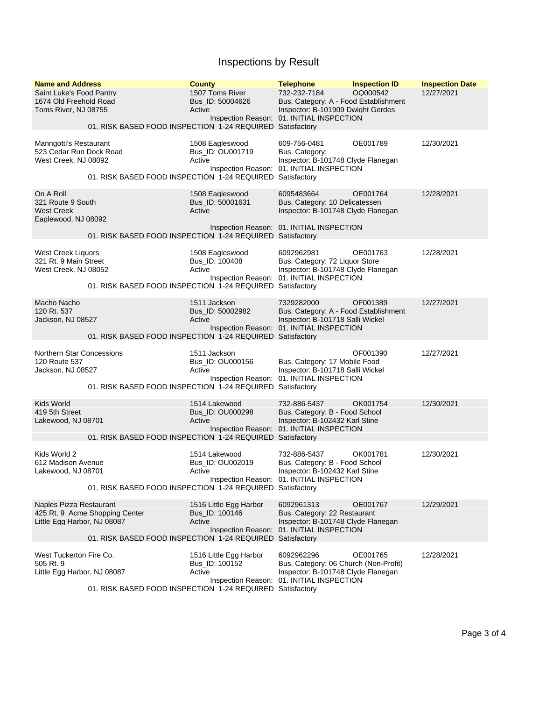## Inspections by Result

| <b>Name and Address</b><br>Saint Luke's Food Pantry<br>1674 Old Freehold Road<br>Toms River, NJ 08755 | 01. RISK BASED FOOD INSPECTION 1-24 REQUIRED Satisfactory                                   | <b>County</b><br>1507 Toms River<br>Bus ID: 50004626<br>Active | <b>Telephone</b><br>732-232-7184<br>Bus. Category: A - Food Establishment<br>Inspector: B-101909 Dwight Gerdes<br>Inspection Reason: 01. INITIAL INSPECTION | <b>Inspection ID</b><br>OQ000542 | <b>Inspection Date</b><br>12/27/2021 |
|-------------------------------------------------------------------------------------------------------|---------------------------------------------------------------------------------------------|----------------------------------------------------------------|-------------------------------------------------------------------------------------------------------------------------------------------------------------|----------------------------------|--------------------------------------|
| Manngotti's Restaurant<br>523 Cedar Run Dock Road<br>West Creek, NJ 08092                             | 01. RISK BASED FOOD INSPECTION 1-24 REQUIRED Satisfactory                                   | 1508 Eagleswood<br>Bus_ID: OU001719<br>Active                  | 609-756-0481<br>Bus. Category:<br>Inspector: B-101748 Clyde Flanegan<br>Inspection Reason: 01. INITIAL INSPECTION                                           | OE001789                         | 12/30/2021                           |
| On A Roll<br>321 Route 9 South<br><b>West Creek</b><br>Eaglewood, NJ 08092                            | 01. RISK BASED FOOD INSPECTION 1-24 REQUIRED Satisfactory                                   | 1508 Eagleswood<br>Bus_ID: 50001631<br>Active                  | 6095483664<br>Bus. Category: 10 Delicatessen<br>Inspector: B-101748 Clyde Flanegan<br>Inspection Reason: 01. INITIAL INSPECTION                             | OE001764                         | 12/28/2021                           |
| <b>West Creek Liquors</b><br>321 Rt. 9 Main Street<br>West Creek, NJ 08052                            | 01. RISK BASED FOOD INSPECTION 1-24 REQUIRED Satisfactory                                   | 1508 Eagleswood<br>Bus_ID: 100408<br>Active                    | 6092962981<br>Bus. Category: 72 Liquor Store<br>Inspector: B-101748 Clyde Flanegan<br>Inspection Reason: 01. INITIAL INSPECTION                             | OE001763                         | 12/28/2021                           |
| Macho Nacho<br>120 Rt. 537<br>Jackson, NJ 08527                                                       | 01. RISK BASED FOOD INSPECTION 1-24 REQUIRED Satisfactory                                   | 1511 Jackson<br>Bus ID: 50002982<br>Active                     | 7329282000<br>Bus. Category: A - Food Establishment<br>Inspector: B-101718 Salli Wickel<br>Inspection Reason: 01. INITIAL INSPECTION                        | OF001389                         | 12/27/2021                           |
| <b>Northern Star Concessions</b><br>120 Route 537<br>Jackson, NJ 08527                                | 01. RISK BASED FOOD INSPECTION 1-24 REQUIRED Satisfactory                                   | 1511 Jackson<br>Bus_ID: OU000156<br>Active                     | Bus. Category: 17 Mobile Food<br>Inspector: B-101718 Salli Wickel<br>Inspection Reason: 01. INITIAL INSPECTION                                              | OF001390                         | 12/27/2021                           |
| Kids World<br>419 5th Street<br>Lakewood, NJ 08701                                                    | 01. RISK BASED FOOD INSPECTION 1-24 REQUIRED Satisfactory                                   | 1514 Lakewood<br>Bus_ID: OU000298<br>Active                    | 732-886-5437<br>Bus. Category: B - Food School<br>Inspector: B-102432 Karl Stine<br>Inspection Reason: 01. INITIAL INSPECTION                               | OK001754                         | 12/30/2021                           |
| Kids World 2<br>612 Madison Avenue<br>Lakewood, NJ 08701                                              | 01. RISK BASED FOOD INSPECTION 1-24 REQUIRED Satisfactory                                   | 1514 Lakewood<br>Bus_ID: OU002019<br>Active                    | 732-886-5437<br>Bus. Category: B - Food School<br>Inspector: B-102432 Karl Stine<br>Inspection Reason: 01. INITIAL INSPECTION                               | OK001781                         | 12/30/2021                           |
| Naples Pizza Restaurant<br>Little Egg Harbor, NJ 08087                                                | 425 Rt. 9 Acme Shopping Center<br>01. RISK BASED FOOD INSPECTION 1-24 REQUIRED Satisfactory | 1516 Little Egg Harbor<br>Bus_ID: 100146<br>Active             | 6092961313<br>Bus. Category: 22 Restaurant<br>Inspector: B-101748 Clyde Flanegan<br>Inspection Reason: 01. INITIAL INSPECTION                               | OE001767                         | 12/29/2021                           |
| West Tuckerton Fire Co.<br>505 Rt. 9<br>Little Egg Harbor, NJ 08087                                   | 01. RISK BASED FOOD INSPECTION 1-24 REQUIRED Satisfactory                                   | 1516 Little Egg Harbor<br>Bus_ID: 100152<br>Active             | 6092962296<br>Bus. Category: 06 Church (Non-Profit)<br>Inspector: B-101748 Clyde Flanegan<br>Inspection Reason: 01. INITIAL INSPECTION                      | OE001765                         | 12/28/2021                           |